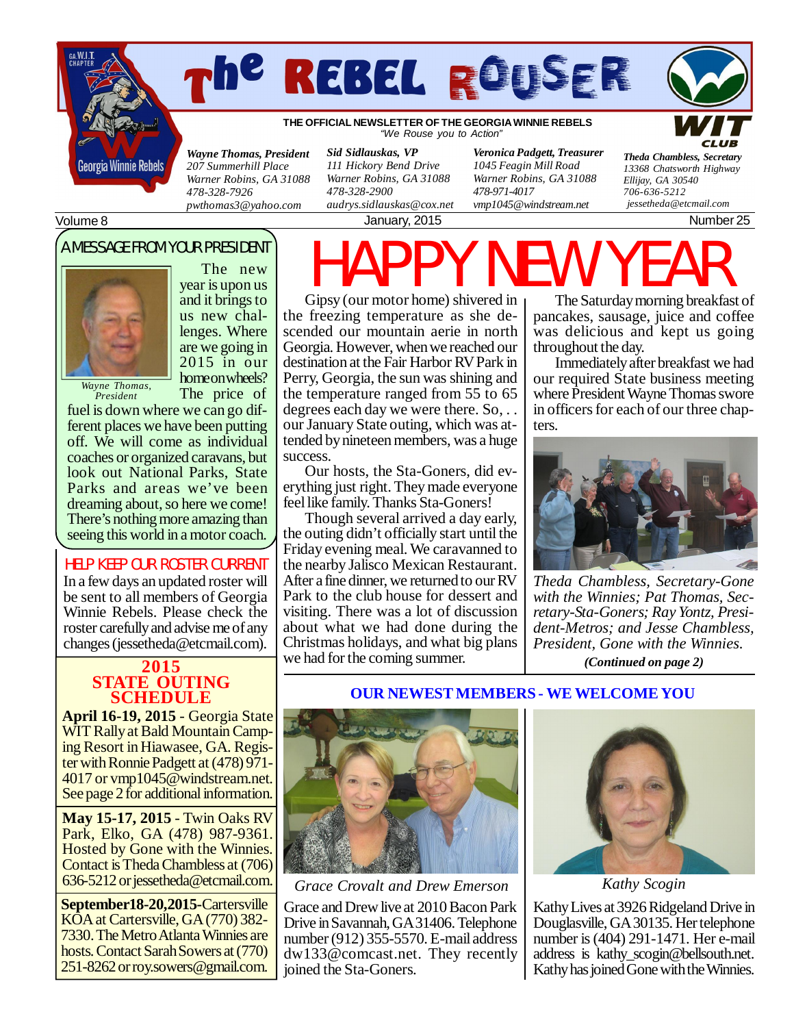



**THE OFFICIAL NEWSLETTER OF THE GEORGIA WINNIE REBELS** *"We Rouse you to Action"*

*Wayne Thomas, President 207 Summerhill Place Warner Robins, GA 31088 478-328-7926 [pwthomas3@yahoo.com](mailto:pwthomas3@yahoo.com)*

*Sid Sidlauskas, VP 111 Hickory Bend Drive Warner Robins, GA 31088 478-328-2900 [audrys.sidlauskas@cox.net](mailto:audrys.sidlauskas@cox.net)*

*Veronica Padgett, Treasurer 1045 Feagin Mill Road Warner Robins, GA 31088 478-971-4017 [vmp1045@windstream.net](mailto:vmp1045@windstream.net)*

January, 2015 **Number 25** 

*Theda Chambless, Secretary 13368 Chatsworth Highway Ellijay, GA 30540*

Volume 8

### A MESSAGE FROM YOUR PRESIDENT



The new year is upon us and it brings to us new challenges. Where are we going in 2015 in our home on wheels? The price of

*President*

fuel is down where we can go different places we have been putting off. We will come as individual coaches or organized caravans, but look out National Parks, State Parks and areas we've been dreaming about, so here we come! There's nothing more amazing than seeing this world in a motor coach.

#### HELP KEEP OUR ROSTER CURRENT

In a few days an updated roster will be sent to all members of Georgia Winnie Rebels. Please check the roster carefully and advise me of any changes [\(jessetheda@etcmail.com](mailto:jessetheda@etcmail.com)).

# **STATE OUTING SCHEDULE**

**April 16-19, 2015** - Georgia State WIT Rally at Bald Mountain Camping Resort in Hiawasee, GA. Register with Ronnie Padgett at (478) 971- 4017 or [vmp1045@windstream.net.](mailto:vmp1045@windstream.net) See page 2 for additional information.

**May 15-17, 2015** - Twin Oaks RV Park, Elko, GA (478) 987-9361. Hosted by Gone with the Winnies. Contact is Theda Chambless at (706) 636-5212 or [jessetheda@etcmail.com.](mailto:jessetheda@etcmail.com)

**September18-20,2015-**Cartersville KOA at Cartersville, GA (770) 382-7330. The Metro Atlanta Winnies are hosts. Contact Sarah Sowers at (770) 251-8262 or [roy.sowers@gmail.com.](mailto:roy.sowers@gmail.com)

HAPPY NEW YEAR Gipsy (our motor home) shivered in the freezing temperature as she descended our mountain aerie in north Georgia. However, when we reached our destination at the Fair Harbor RV Park in Perry, Georgia, the sun was shining and the temperature ranged from 55 to 65 degrees each day we were there. So, . . our January State outing, which was attended by nineteen members, was a huge success.

Our hosts, the Sta-Goners, did everything just right. They made everyone feel like family. Thanks Sta-Goners!

**2015** we had for the coming summer. *(Continued on page 2)* Though several arrived a day early, the outing didn't officially start until the Friday evening meal. We caravanned to the nearby Jalisco Mexican Restaurant. After a fine dinner, we returned to our RV Park to the club house for dessert and visiting. There was a lot of discussion about what we had done during the Christmas holidays, and what big plans

The Saturday morning breakfast of pancakes, sausage, juice and coffee was delicious and kept us going throughout the day.

*706-636-5212*

 *[jessetheda@etcmail.com](mailto:jessetheda@etcmail.com)*

Immediately after breakfast we had our required State business meeting where President Wayne Thomas swore in officers for each of our three chapters.



*Theda Chambless, Secretary-Gone with the Winnies; Pat Thomas, Secretary-Sta-Goners; Ray Yontz, President-Metros; and Jesse Chambless, President, Gone with the Winnies.*





*Grace Crovalt and Drew Emerson*

Grace and Drew live at 2010 Bacon Park Drive in Savannah, GA 31406. Telephone number (912) 355-5570. E-mail address [dw133@comcast.net](mailto:dw133@comcast.net). They recently joined the Sta-Goners.



*Kathy Scogin*

Kathy Lives at 3926 Ridgeland Drive in Douglasville, GA 30135. Her telephone number is (404) 291-1471. Her e-mail address is [kathy\\_scogin@bellsouth.net](mailto:kathy_scogin@bellsouth.net). Kathy has joined Gone with the Winnies.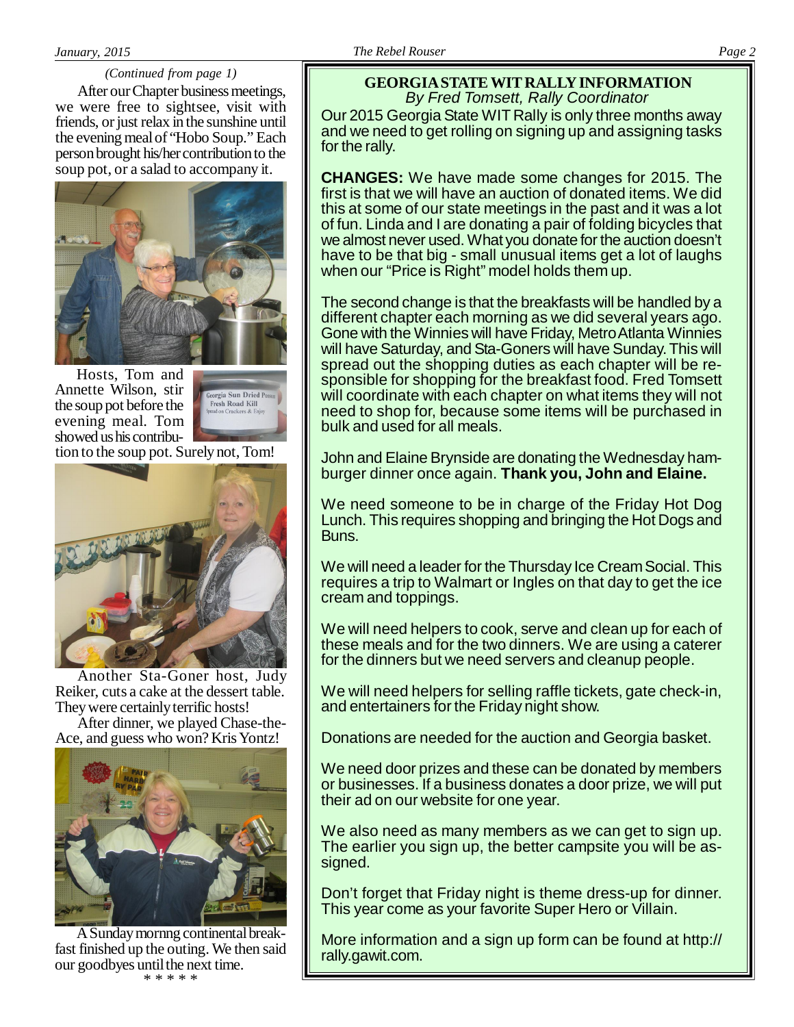#### *(Continued from page 1)*

After our Chapter business meetings, we were free to sightsee, visit with friends, or just relax in the sunshine until the evening meal of "Hobo Soup." Each person brought his/her contribution to the soup pot, or a salad to accompany it.



Hosts, Tom and Annette Wilson, stir the soup pot before the evening meal. Tom showed us his contribu-

Georgia Sun Dried Po<br>Fresh Road Kill

tion to the soup pot. Surely not, Tom!



Another Sta-Goner host, Judy Reiker, cuts a cake at the dessert table. They were certainly terrific hosts!

After dinner, we played Chase-the-Ace, and guess who won? Kris Yontz!



A Sunday mornng continental breakfast finished up the outing. We then said our goodbyes until the next time. \* \* \* \* \*

## **GEORGIA STATE WIT RALLY INFORMATION** *By Fred Tomsett, Rally Coordinator*

Our 2015 Georgia State WIT Rally is only three months away and we need to get rolling on signing up and assigning tasks for the rally.

**CHANGES:** We have made some changes for 2015. The first is that we will have an auction of donated items. We did this at some of our state meetings in the past and it was a lot of fun. Linda and I are donating a pair of folding bicycles that we almost never used. What you donate for the auction doesn't have to be that big - small unusual items get a lot of laughs when our "Price is Right" model holds them up.

The second change is that the breakfasts will be handled by a different chapter each morning as we did several years ago. Gone with the Winnies will have Friday, Metro Atlanta Winnies will have Saturday, and Sta-Goners will have Sunday. This will spread out the shopping duties as each chapter will be responsible for shopping for the breakfast food. Fred Tomsett will coordinate with each chapter on what items they will not need to shop for, because some items will be purchased in bulk and used for all meals.

John and Elaine Brynside are donating the Wednesday hamburger dinner once again. **Thank you, John and Elaine.**

We need someone to be in charge of the Friday Hot Dog Lunch. This requires shopping and bringing the Hot Dogs and Buns.

We will need a leader for the Thursday Ice Cream Social. This requires a trip to Walmart or Ingles on that day to get the ice cream and toppings.

We will need helpers to cook, serve and clean up for each of these meals and for the two dinners. We are using a caterer for the dinners but we need servers and cleanup people.

We will need helpers for selling raffle tickets, gate check-in, and entertainers for the Friday night show.

Donations are needed for the auction and Georgia basket.

We need door prizes and these can be donated by members or businesses. If a business donates a door prize, we will put their ad on our website for one year.

We also need as many members as we can get to sign up. The earlier you sign up, the better campsite you will be assigned.

Don't forget that Friday night is theme dress-up for dinner. This year come as your favorite Super Hero or Villain.

More information and a sign up form can be found at http:// rally.gawit.com.